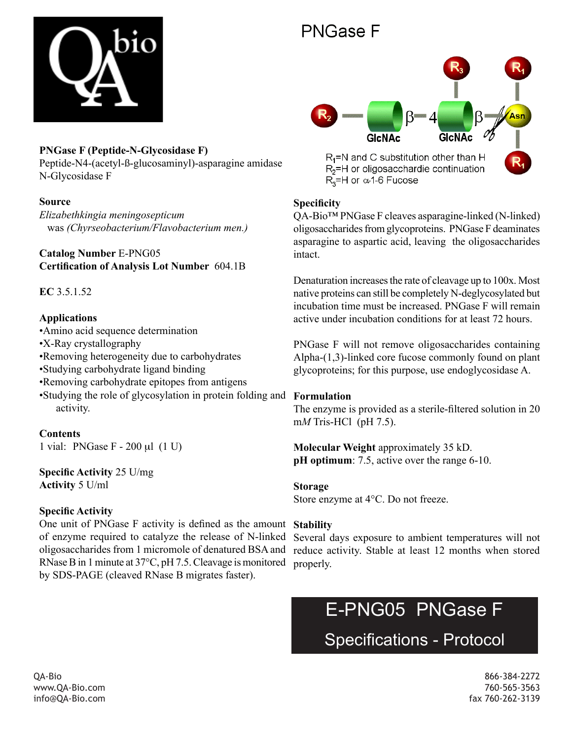

### **PNGase F (Peptide-N-Glycosidase F)**

Peptide-N4-(acetyl-ß-glucosaminyl)-asparagine amidase N-Glycosidase F

### **Source**

*Elizabethkingia meningosepticum* was *(Chyrseobacterium/Flavobacterium men.)*

**Catalog Number** E-PNG05 **Certification of Analysis Lot Number** 604.1B

**EC** 3.5.1.52

### **Applications**

- •Amino acid sequence determination
- •X-Ray crystallography
- •Removing heterogeneity due to carbohydrates
- •Studying carbohydrate ligand binding
- •Removing carbohydrate epitopes from antigens
- •Studying the role of glycosylation in protein folding and **Formulation** activity.

## **Contents**

1 vial: PNGase F - 200 µl (1 U)

### **Specific Activity** 25 U/mg **Activity** 5 U/ml

### **Specific Activity**

One unit of PNGase F activity is defined as the amount **Stability** of enzyme required to catalyze the release of N-linked oligosaccharides from 1 micromole of denatured BSA and reduce activity. Stable at least 12 months when stored RNase B in 1 minute at 37°C, pH 7.5. Cleavage is monitored properly. by SDS-PAGE (cleaved RNase B migrates faster).

# PNGase F



### **Specificity**

QA-Bio™ PNGase F cleaves asparagine-linked (N-linked) oligosaccharides from glycoproteins. PNGase F deaminates asparagine to aspartic acid, leaving the oligosaccharides intact.

Denaturation increases the rate of cleavage up to 100x. Most native proteins can still be completely N-deglycosylated but incubation time must be increased. PNGase F will remain active under incubation conditions for at least 72 hours.

PNGase F will not remove oligosaccharides containing Alpha-(1,3)-linked core fucose commonly found on plant glycoproteins; for this purpose, use endoglycosidase A.

The enzyme is provided as a sterile-filtered solution in 20 m*M* Tris-HCl (pH 7.5).

**Molecular Weight** approximately 35 kD. **pH** optimum: 7.5, active over the range 6-10.

### **Storage**

Store enzyme at 4°C. Do not freeze.

Several days exposure to ambient temperatures will not

## E-PNG05 PNGase F

Specifications - Protocol